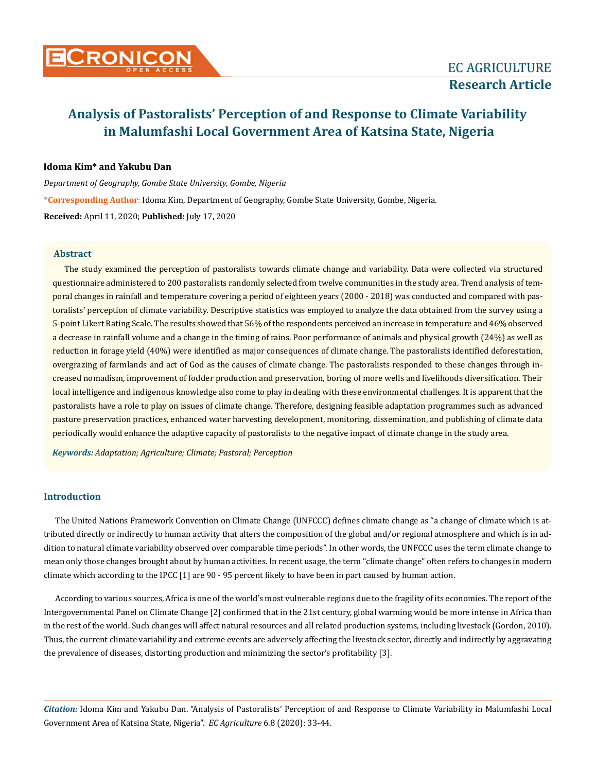

# **Idoma Kim\* and Yakubu Dan**

*Department of Geography, Gombe State University, Gombe, Nigeria*

**\*Corresponding Author**: Idoma Kim, Department of Geography, Gombe State University, Gombe, Nigeria.

**Received:** April 11, 2020; **Published:** July 17, 2020

### **Abstract**

The study examined the perception of pastoralists towards climate change and variability. Data were collected via structured questionnaire administered to 200 pastoralists randomly selected from twelve communities in the study area. Trend analysis of temporal changes in rainfall and temperature covering a period of eighteen years (2000 - 2018) was conducted and compared with pastoralists' perception of climate variability. Descriptive statistics was employed to analyze the data obtained from the survey using a 5-point Likert Rating Scale. The results showed that 56% of the respondents perceived an increase in temperature and 46% observed a decrease in rainfall volume and a change in the timing of rains. Poor performance of animals and physical growth (24%) as well as reduction in forage yield (40%) were identified as major consequences of climate change. The pastoralists identified deforestation, overgrazing of farmlands and act of God as the causes of climate change. The pastoralists responded to these changes through increased nomadism, improvement of fodder production and preservation, boring of more wells and livelihoods diversification. Their local intelligence and indigenous knowledge also come to play in dealing with these environmental challenges. It is apparent that the pastoralists have a role to play on issues of climate change. Therefore, designing feasible adaptation programmes such as advanced pasture preservation practices, enhanced water harvesting development, monitoring, dissemination, and publishing of climate data periodically would enhance the adaptive capacity of pastoralists to the negative impact of climate change in the study area.

*Keywords: Adaptation; Agriculture; Climate; Pastoral; Perception*

### **Introduction**

The United Nations Framework Convention on Climate Change (UNFCCC) defines climate change as "a change of climate which is attributed directly or indirectly to human activity that alters the composition of the global and/or regional atmosphere and which is in addition to natural climate variability observed over comparable time periods". In other words, the UNFCCC uses the term climate change to mean only those changes brought about by human activities. In recent usage, the term "climate change" often refers to changes in modern climate which according to the IPCC [1] are 90 - 95 percent likely to have been in part caused by human action.

According to various sources, Africa is one of the world's most vulnerable regions due to the fragility of its economies. The report of the Intergovernmental Panel on Climate Change [2] confirmed that in the 21st century, global warming would be more intense in Africa than in the rest of the world. Such changes will affect natural resources and all related production systems, including livestock (Gordon, 2010). Thus, the current climate variability and extreme events are adversely affecting the livestock sector, directly and indirectly by aggravating the prevalence of diseases, distorting production and minimizing the sector's profitability [3].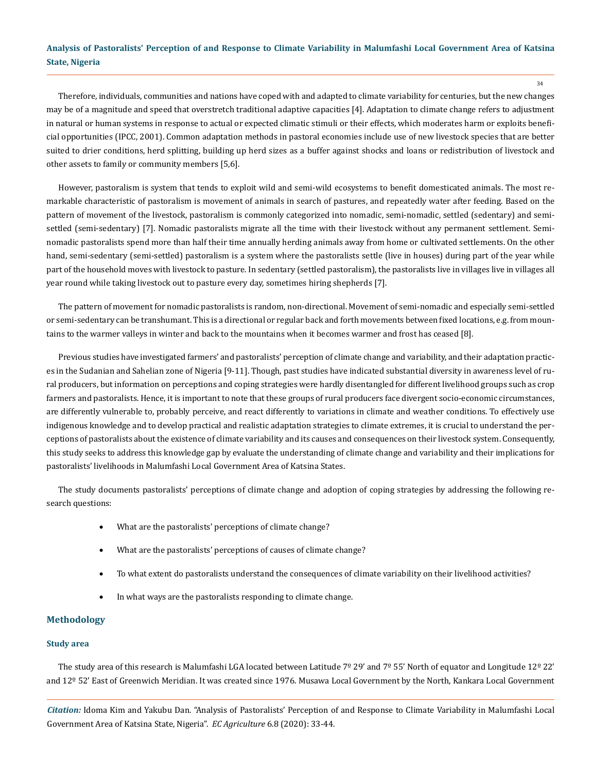34

Therefore, individuals, communities and nations have coped with and adapted to climate variability for centuries, but the new changes may be of a magnitude and speed that overstretch traditional adaptive capacities [4]. Adaptation to climate change refers to adjustment in natural or human systems in response to actual or expected climatic stimuli or their effects, which moderates harm or exploits beneficial opportunities (IPCC, 2001). Common adaptation methods in pastoral economies include use of new livestock species that are better suited to drier conditions, herd splitting, building up herd sizes as a buffer against shocks and loans or redistribution of livestock and other assets to family or community members [5,6].

However, pastoralism is system that tends to exploit wild and semi-wild ecosystems to benefit domesticated animals. The most remarkable characteristic of pastoralism is movement of animals in search of pastures, and repeatedly water after feeding. Based on the pattern of movement of the livestock, pastoralism is commonly categorized into nomadic, semi-nomadic, settled (sedentary) and semisettled (semi-sedentary) [7]. Nomadic pastoralists migrate all the time with their livestock without any permanent settlement. Seminomadic pastoralists spend more than half their time annually herding animals away from home or cultivated settlements. On the other hand, semi-sedentary (semi-settled) pastoralism is a system where the pastoralists settle (live in houses) during part of the year while part of the household moves with livestock to pasture. In sedentary (settled pastoralism), the pastoralists live in villages live in villages all year round while taking livestock out to pasture every day, sometimes hiring shepherds [7].

The pattern of movement for nomadic pastoralists is random, non-directional. Movement of semi-nomadic and especially semi-settled or semi-sedentary can be transhumant. This is a directional or regular back and forth movements between fixed locations, e.g. from mountains to the warmer valleys in winter and back to the mountains when it becomes warmer and frost has ceased [8].

Previous studies have investigated farmers' and pastoralists' perception of climate change and variability, and their adaptation practices in the Sudanian and Sahelian zone of Nigeria [9-11]. Though, past studies have indicated substantial diversity in awareness level of rural producers, but information on perceptions and coping strategies were hardly disentangled for different livelihood groups such as crop farmers and pastoralists. Hence, it is important to note that these groups of rural producers face divergent socio-economic circumstances, are differently vulnerable to, probably perceive, and react differently to variations in climate and weather conditions. To effectively use indigenous knowledge and to develop practical and realistic adaptation strategies to climate extremes, it is crucial to understand the perceptions of pastoralists about the existence of climate variability and its causes and consequences on their livestock system. Consequently, this study seeks to address this knowledge gap by evaluate the understanding of climate change and variability and their implications for pastoralists' livelihoods in Malumfashi Local Government Area of Katsina States.

The study documents pastoralists' perceptions of climate change and adoption of coping strategies by addressing the following research questions:

- What are the pastoralists' perceptions of climate change?
- What are the pastoralists' perceptions of causes of climate change?
- To what extent do pastoralists understand the consequences of climate variability on their livelihood activities?
- In what ways are the pastoralists responding to climate change.

## **Methodology**

### **Study area**

The study area of this research is Malumfashi LGA located between Latitude 7º 29' and 7º 55' North of equator and Longitude 12º 22' and 12º 52' East of Greenwich Meridian. It was created since 1976. Musawa Local Government by the North, Kankara Local Government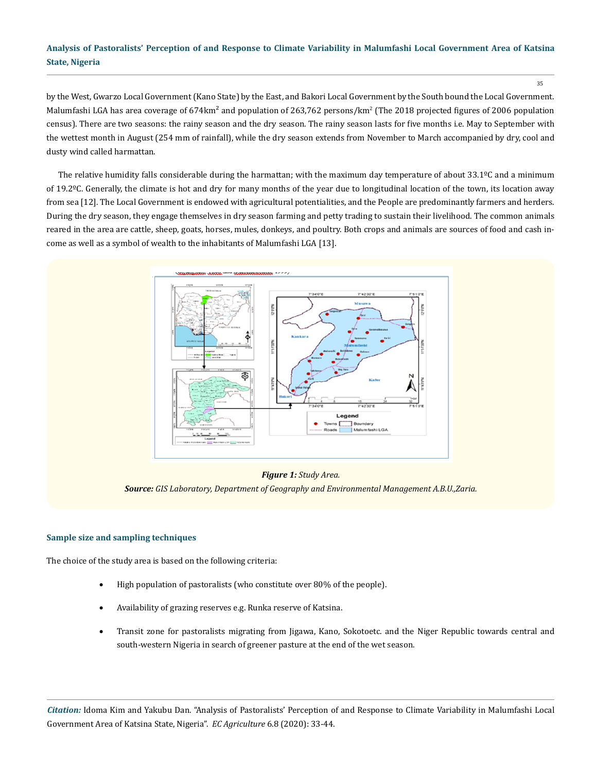35

by the West, Gwarzo Local Government (Kano State) by the East, and Bakori Local Government by the South bound the Local Government. Malumfashi LGA has area coverage of 674km<sup>2</sup> and population of 263,762 persons/km<sup>2</sup> (The 2018 projected figures of 2006 population census). There are two seasons: the rainy season and the dry season. The rainy season lasts for five months i.e. May to September with the wettest month in August (254 mm of rainfall), while the dry season extends from November to March accompanied by dry, cool and dusty wind called harmattan.

The relative humidity falls considerable during the harmattan; with the maximum day temperature of about  $33.1\textdegree C$  and a minimum of 19.2ºC. Generally, the climate is hot and dry for many months of the year due to longitudinal location of the town, its location away from sea [12]. The Local Government is endowed with agricultural potentialities, and the People are predominantly farmers and herders. During the dry season, they engage themselves in dry season farming and petty trading to sustain their livelihood. The common animals reared in the area are cattle, sheep, goats, horses, mules, donkeys, and poultry. Both crops and animals are sources of food and cash income as well as a symbol of wealth to the inhabitants of Malumfashi LGA [13].



### *Figure 1: Study Area.*

*Source: GIS Laboratory, Department of Geography and Environmental Management A.B.U.,Zaria.*

### **Sample size and sampling techniques**

The choice of the study area is based on the following criteria:

- High population of pastoralists (who constitute over 80% of the people).
- Availability of grazing reserves e.g. Runka reserve of Katsina.
- Transit zone for pastoralists migrating from Jigawa, Kano, Sokotoetc. and the Niger Republic towards central and south-western Nigeria in search of greener pasture at the end of the wet season.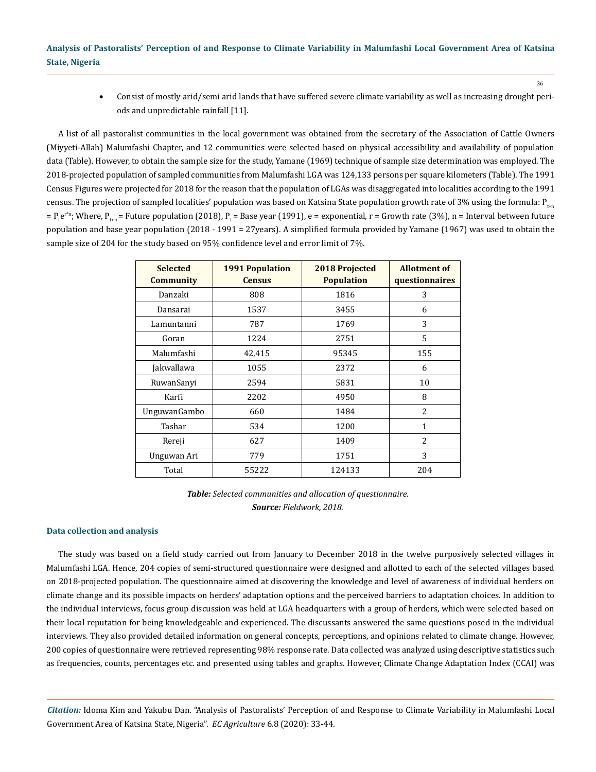36

• Consist of mostly arid/semi arid lands that have suffered severe climate variability as well as increasing drought periods and unpredictable rainfall [11].

A list of all pastoralist communities in the local government was obtained from the secretary of the Association of Cattle Owners (Miyyeti-Allah) Malumfashi Chapter, and 12 communities were selected based on physical accessibility and availability of population data (Table). However, to obtain the sample size for the study, Yamane (1969) technique of sample size determination was employed. The 2018-projected population of sampled communities from Malumfashi LGA was 124,133 persons per square kilometers (Table). The 1991 Census Figures were projected for 2018 for the reason that the population of LGAs was disaggregated into localities according to the 1991 census. The projection of sampled localities' population was based on Katsina State population growth rate of 3% using the formula:  $P_{t_{\text{tan}}}$ = P<sub>t</sub>e<sup>rn</sup>; Where, P<sub>t+n</sub> = Future population (2018), P<sub>t</sub> = Base year (1991), e = exponential, r = Growth rate (3%), n = Interval between future population and base year population (2018 - 1991 = 27years). A simplified formula provided by Yamane (1967) was used to obtain the sample size of 204 for the study based on 95% confidence level and error limit of 7%.

| <b>Selected</b><br><b>Community</b> | <b>1991 Population</b><br><b>Census</b> | 2018 Projected<br><b>Population</b> | <b>Allotment of</b><br>questionnaires |
|-------------------------------------|-----------------------------------------|-------------------------------------|---------------------------------------|
| Danzaki                             | 808                                     | 1816                                | 3                                     |
| Dansarai                            | 1537                                    | 3455                                | 6                                     |
| Lamuntanni                          | 787                                     | 1769                                | 3                                     |
| Goran                               | 1224                                    | 2751                                | 5                                     |
| Malumfashi                          | 42,415                                  | 95345                               | 155                                   |
| Jakwallawa                          | 1055                                    | 2372                                | 6                                     |
| RuwanSanyi                          | 2594                                    | 5831                                | 10                                    |
| Karfi                               | 2202                                    | 4950                                | 8                                     |
| <b>UnguwanGambo</b>                 | 660                                     | 1484                                | $\overline{c}$                        |
| Tashar                              | 534                                     | 1200                                | 1                                     |
| Rereji                              | 627                                     | 1409                                | $\overline{c}$                        |
| Unguwan Ari                         | 779                                     | 1751                                | 3                                     |
| Total                               | 55222                                   | 124133                              | 204                                   |

*Table: Selected communities and allocation of questionnaire. Source: Fieldwork, 2018.*

### **Data collection and analysis**

The study was based on a field study carried out from January to December 2018 in the twelve purposively selected villages in Malumfashi LGA. Hence, 204 copies of semi-structured questionnaire were designed and allotted to each of the selected villages based on 2018-projected population. The questionnaire aimed at discovering the knowledge and level of awareness of individual herders on climate change and its possible impacts on herders' adaptation options and the perceived barriers to adaptation choices. In addition to the individual interviews, focus group discussion was held at LGA headquarters with a group of herders, which were selected based on their local reputation for being knowledgeable and experienced. The discussants answered the same questions posed in the individual interviews. They also provided detailed information on general concepts, perceptions, and opinions related to climate change. However, 200 copies of questionnaire were retrieved representing 98% response rate. Data collected was analyzed using descriptive statistics such as frequencies, counts, percentages etc. and presented using tables and graphs. However, Climate Change Adaptation Index (CCAI) was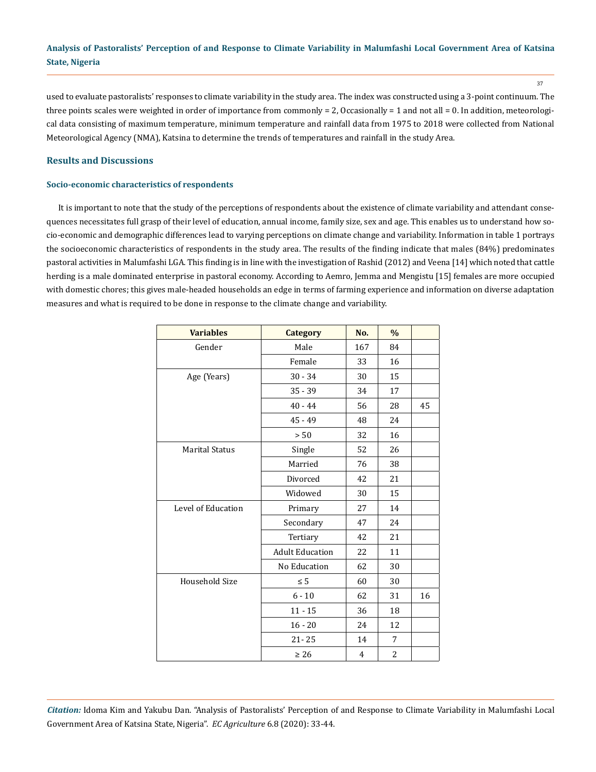37

used to evaluate pastoralists' responses to climate variability in the study area. The index was constructed using a 3-point continuum. The three points scales were weighted in order of importance from commonly = 2, Occasionally = 1 and not all = 0. In addition, meteorological data consisting of maximum temperature, minimum temperature and rainfall data from 1975 to 2018 were collected from National Meteorological Agency (NMA), Katsina to determine the trends of temperatures and rainfall in the study Area.

### **Results and Discussions**

### **Socio-economic characteristics of respondents**

It is important to note that the study of the perceptions of respondents about the existence of climate variability and attendant consequences necessitates full grasp of their level of education, annual income, family size, sex and age. This enables us to understand how socio-economic and demographic differences lead to varying perceptions on climate change and variability. Information in table 1 portrays the socioeconomic characteristics of respondents in the study area. The results of the finding indicate that males (84%) predominates pastoral activities in Malumfashi LGA. This finding is in line with the investigation of Rashid (2012) and Veena [14] which noted that cattle herding is a male dominated enterprise in pastoral economy. According to Aemro, Jemma and Mengistu [15] females are more occupied with domestic chores; this gives male-headed households an edge in terms of farming experience and information on diverse adaptation measures and what is required to be done in response to the climate change and variability.

| <b>Variables</b>      | <b>Category</b>        | No. | $\frac{0}{0}$  |    |
|-----------------------|------------------------|-----|----------------|----|
| Gender                | Male                   | 167 | 84             |    |
|                       | Female                 | 33  | 16             |    |
| Age (Years)           | $30 - 34$              | 30  | 15             |    |
|                       | $35 - 39$              | 34  | 17             |    |
|                       | $40 - 44$              | 56  | 28             | 45 |
|                       | $45 - 49$              | 48  | 24             |    |
|                       | > 50                   | 32  | 16             |    |
| <b>Marital Status</b> | Single                 | 52  | 26             |    |
|                       | Married                | 76  | 38             |    |
|                       | Divorced               | 42  | 21             |    |
|                       | Widowed                | 30  | 15             |    |
| Level of Education    | Primary                | 27  | 14             |    |
|                       | Secondary              | 47  | 24             |    |
|                       | Tertiary               | 42  | 21             |    |
|                       | <b>Adult Education</b> | 22  | 11             |    |
|                       | No Education           | 62  | 30             |    |
| Household Size        | $\leq 5$               | 60  | 30             |    |
|                       | $6 - 10$               | 62  | 31             | 16 |
|                       | $11 - 15$              | 36  | 18             |    |
|                       | $16 - 20$              | 24  | 12             |    |
|                       | $21 - 25$              | 14  | 7              |    |
|                       | $\geq 26$              | 4   | $\overline{2}$ |    |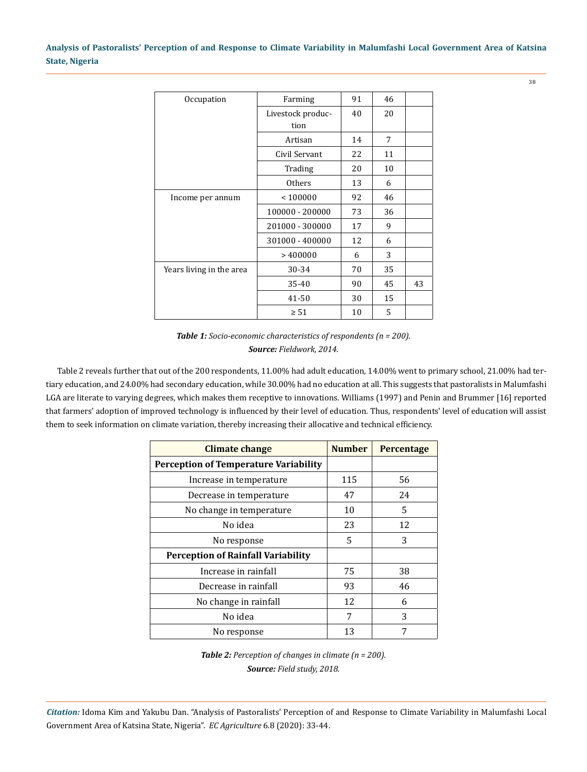38

| Occupation               | Farming           | 91 | 46 |    |
|--------------------------|-------------------|----|----|----|
|                          | Livestock produc- | 40 | 20 |    |
|                          | tion              |    |    |    |
|                          | Artisan           | 14 | 7  |    |
|                          | Civil Servant     | 22 | 11 |    |
|                          | Trading           | 20 | 10 |    |
|                          | <b>Others</b>     | 13 | 6  |    |
| Income per annum         | < 100000          | 92 | 46 |    |
|                          | 100000 - 200000   | 73 | 36 |    |
|                          | 201000 - 300000   | 17 | 9  |    |
|                          | 301000 - 400000   | 12 | 6  |    |
|                          | >400000           | 6  | 3  |    |
| Years living in the area | 30-34             | 70 | 35 |    |
|                          | 35-40             | 90 | 45 | 43 |
|                          | 41-50             | 30 | 15 |    |
|                          | $\geq 51$         | 10 | 5  |    |



Table 2 reveals further that out of the 200 respondents, 11.00% had adult education, 14.00% went to primary school, 21.00% had tertiary education, and 24.00% had secondary education, while 30.00% had no education at all. This suggests that pastoralists in Malumfashi LGA are literate to varying degrees, which makes them receptive to innovations. Williams (1997) and Penin and Brummer [16] reported that farmers' adoption of improved technology is influenced by their level of education. Thus, respondents' level of education will assist them to seek information on climate variation, thereby increasing their allocative and technical efficiency.

| Climate change                               | <b>Number</b> | <b>Percentage</b> |
|----------------------------------------------|---------------|-------------------|
| <b>Perception of Temperature Variability</b> |               |                   |
| Increase in temperature                      | 115           | 56                |
| Decrease in temperature                      | 47            | 24                |
| No change in temperature                     | 10            | 5                 |
| No idea                                      | 23            | 12                |
| No response                                  | 5             | 3                 |
| <b>Perception of Rainfall Variability</b>    |               |                   |
| Increase in rainfall                         | 75            | 38                |
| Decrease in rainfall                         | 93            | 46                |
| No change in rainfall                        | 12            | 6                 |
| No idea                                      | 7             | 3                 |
| No response                                  | 13            |                   |

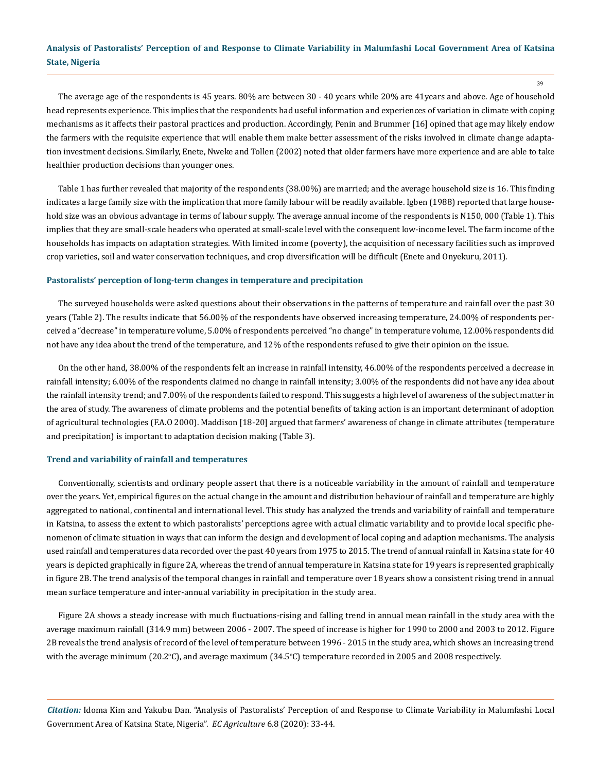39

The average age of the respondents is 45 years. 80% are between 30 - 40 years while 20% are 41years and above. Age of household head represents experience. This implies that the respondents had useful information and experiences of variation in climate with coping mechanisms as it affects their pastoral practices and production. Accordingly, Penin and Brummer [16] opined that age may likely endow the farmers with the requisite experience that will enable them make better assessment of the risks involved in climate change adaptation investment decisions. Similarly, Enete, Nweke and Tollen (2002) noted that older farmers have more experience and are able to take healthier production decisions than younger ones.

Table 1 has further revealed that majority of the respondents (38.00%) are married; and the average household size is 16. This finding indicates a large family size with the implication that more family labour will be readily available. Igben (1988) reported that large household size was an obvious advantage in terms of labour supply. The average annual income of the respondents is N150, 000 (Table 1). This implies that they are small-scale headers who operated at small-scale level with the consequent low-income level. The farm income of the households has impacts on adaptation strategies. With limited income (poverty), the acquisition of necessary facilities such as improved crop varieties, soil and water conservation techniques, and crop diversification will be difficult (Enete and Onyekuru, 2011).

### **Pastoralists' perception of long-term changes in temperature and precipitation**

The surveyed households were asked questions about their observations in the patterns of temperature and rainfall over the past 30 years (Table 2). The results indicate that 56.00% of the respondents have observed increasing temperature, 24.00% of respondents perceived a "decrease" in temperature volume, 5.00% of respondents perceived "no change" in temperature volume, 12.00% respondents did not have any idea about the trend of the temperature, and 12% of the respondents refused to give their opinion on the issue.

On the other hand, 38.00% of the respondents felt an increase in rainfall intensity, 46.00% of the respondents perceived a decrease in rainfall intensity; 6.00% of the respondents claimed no change in rainfall intensity; 3.00% of the respondents did not have any idea about the rainfall intensity trend; and 7.00% of the respondents failed to respond. This suggests a high level of awareness of the subject matter in the area of study. The awareness of climate problems and the potential benefits of taking action is an important determinant of adoption of agricultural technologies (F.A.O 2000). Maddison [18-20] argued that farmers' awareness of change in climate attributes (temperature and precipitation) is important to adaptation decision making (Table 3).

### **Trend and variability of rainfall and temperatures**

Conventionally, scientists and ordinary people assert that there is a noticeable variability in the amount of rainfall and temperature over the years. Yet, empirical figures on the actual change in the amount and distribution behaviour of rainfall and temperature are highly aggregated to national, continental and international level. This study has analyzed the trends and variability of rainfall and temperature in Katsina, to assess the extent to which pastoralists' perceptions agree with actual climatic variability and to provide local specific phenomenon of climate situation in ways that can inform the design and development of local coping and adaption mechanisms. The analysis used rainfall and temperatures data recorded over the past 40 years from 1975 to 2015. The trend of annual rainfall in Katsina state for 40 years is depicted graphically in figure 2A, whereas the trend of annual temperature in Katsina state for 19 years is represented graphically in figure 2B. The trend analysis of the temporal changes in rainfall and temperature over 18 years show a consistent rising trend in annual mean surface temperature and inter-annual variability in precipitation in the study area.

Figure 2A shows a steady increase with much fluctuations-rising and falling trend in annual mean rainfall in the study area with the average maximum rainfall (314.9 mm) between 2006 - 2007. The speed of increase is higher for 1990 to 2000 and 2003 to 2012. Figure 2B reveals the trend analysis of record of the level of temperature between 1996 - 2015 in the study area, which shows an increasing trend with the average minimum (20.2°C), and average maximum (34.5°C) temperature recorded in 2005 and 2008 respectively.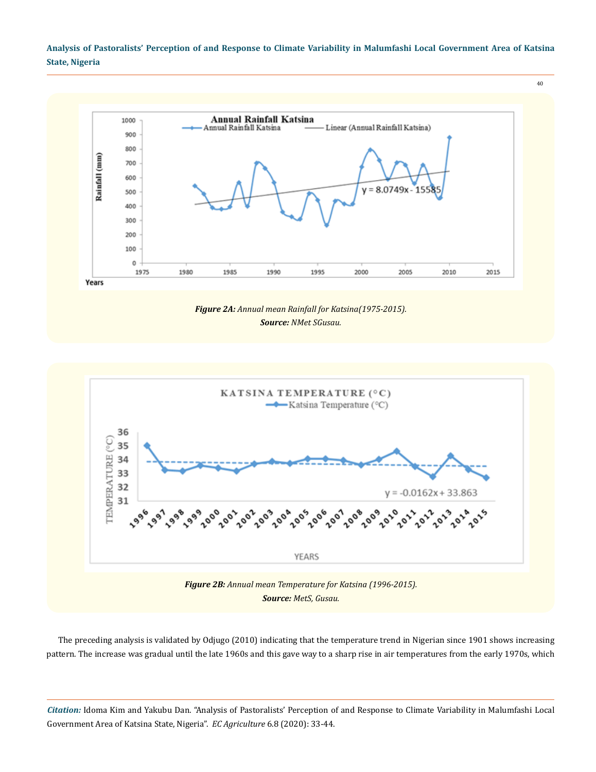40



*Figure 2A: Annual mean Rainfall for Katsina(1975-2015). Source: NMet SGusau.*



The preceding analysis is validated by Odjugo (2010) indicating that the temperature trend in Nigerian since 1901 shows increasing pattern. The increase was gradual until the late 1960s and this gave way to a sharp rise in air temperatures from the early 1970s, which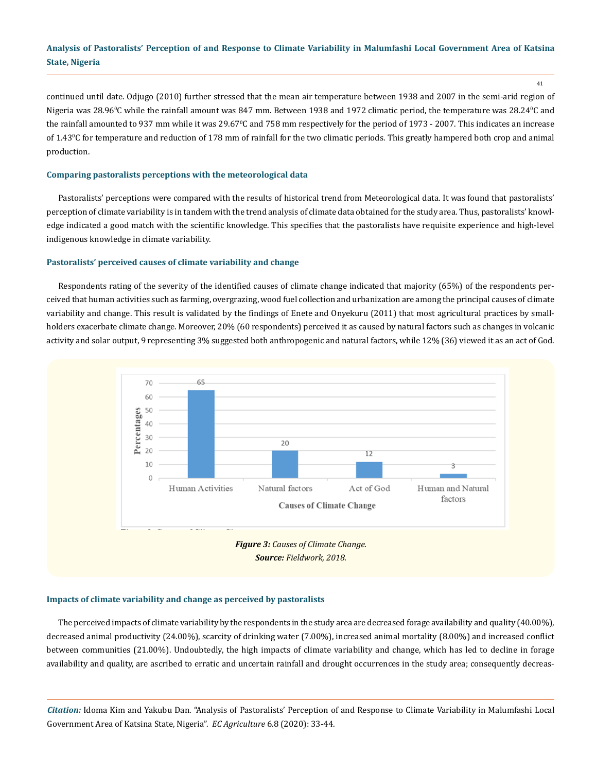41

continued until date. Odjugo (2010) further stressed that the mean air temperature between 1938 and 2007 in the semi-arid region of Nigeria was 28.96°C while the rainfall amount was 847 mm. Between 1938 and 1972 climatic period, the temperature was 28.24°C and the rainfall amounted to 937 mm while it was 29.67°C and 758 mm respectively for the period of 1973 - 2007. This indicates an increase of 1.43°C for temperature and reduction of 178 mm of rainfall for the two climatic periods. This greatly hampered both crop and animal production.

### **Comparing pastoralists perceptions with the meteorological data**

Pastoralists' perceptions were compared with the results of historical trend from Meteorological data. It was found that pastoralists' perception of climate variability is in tandem with the trend analysis of climate data obtained for the study area. Thus, pastoralists' knowledge indicated a good match with the scientific knowledge. This specifies that the pastoralists have requisite experience and high-level indigenous knowledge in climate variability.

### **Pastoralists' perceived causes of climate variability and change**

Respondents rating of the severity of the identified causes of climate change indicated that majority (65%) of the respondents perceived that human activities such as farming, overgrazing, wood fuel collection and urbanization are among the principal causes of climate variability and change. This result is validated by the findings of Enete and Onyekuru (2011) that most agricultural practices by smallholders exacerbate climate change. Moreover, 20% (60 respondents) perceived it as caused by natural factors such as changes in volcanic activity and solar output, 9 representing 3% suggested both anthropogenic and natural factors, while 12% (36) viewed it as an act of God.



### **Impacts of climate variability and change as perceived by pastoralists**

The perceived impacts of climate variability by the respondents in the study area are decreased forage availability and quality (40.00%), decreased animal productivity (24.00%), scarcity of drinking water (7.00%), increased animal mortality (8.00%) and increased conflict between communities (21.00%). Undoubtedly, the high impacts of climate variability and change, which has led to decline in forage availability and quality, are ascribed to erratic and uncertain rainfall and drought occurrences in the study area; consequently decreas-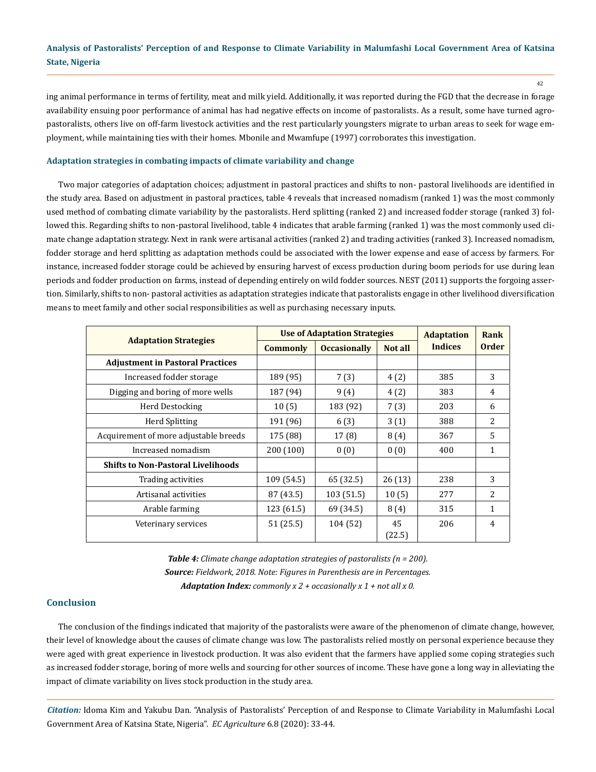ing animal performance in terms of fertility, meat and milk yield. Additionally, it was reported during the FGD that the decrease in forage availability ensuing poor performance of animal has had negative effects on income of pastoralists. As a result, some have turned agropastoralists, others live on off-farm livestock activities and the rest particularly youngsters migrate to urban areas to seek for wage employment, while maintaining ties with their homes. Mbonile and Mwamfupe (1997) corroborates this investigation.

### **Adaptation strategies in combating impacts of climate variability and change**

Two major categories of adaptation choices; adjustment in pastoral practices and shifts to non- pastoral livelihoods are identified in the study area. Based on adjustment in pastoral practices, table 4 reveals that increased nomadism (ranked 1) was the most commonly used method of combating climate variability by the pastoralists. Herd splitting (ranked 2) and increased fodder storage (ranked 3) followed this. Regarding shifts to non-pastoral livelihood, table 4 indicates that arable farming (ranked 1) was the most commonly used climate change adaptation strategy. Next in rank were artisanal activities (ranked 2) and trading activities (ranked 3). Increased nomadism, fodder storage and herd splitting as adaptation methods could be associated with the lower expense and ease of access by farmers. For instance, increased fodder storage could be achieved by ensuring harvest of excess production during boom periods for use during lean periods and fodder production on farms, instead of depending entirely on wild fodder sources. NEST (2011) supports the forgoing assertion. Similarly, shifts to non- pastoral activities as adaptation strategies indicate that pastoralists engage in other livelihood diversification means to meet family and other social responsibilities as well as purchasing necessary inputs.

|                                           | <b>Use of Adaptation Strategies</b> |                     |              | <b>Adaptation</b> | Rank           |
|-------------------------------------------|-------------------------------------|---------------------|--------------|-------------------|----------------|
| <b>Adaptation Strategies</b>              | <b>Commonly</b>                     | <b>Occasionally</b> | Not all      | <b>Indices</b>    | <b>Order</b>   |
| <b>Adjustment in Pastoral Practices</b>   |                                     |                     |              |                   |                |
| Increased fodder storage                  | 189 (95)                            | 7(3)                | 4(2)         | 385               | 3              |
| Digging and boring of more wells          | 187 (94)                            | 9(4)                | 4(2)         | 383               | 4              |
| Herd Destocking                           | 10(5)                               | 183 (92)            | 7(3)         | 203               | 6              |
| <b>Herd Splitting</b>                     | 191 (96)                            | 6(3)                | 3(1)         | 388               | 2              |
| Acquirement of more adjustable breeds     | 175 (88)                            | 17(8)               | 8(4)         | 367               | 5              |
| Increased nomadism                        | 200 (100)                           | 0(0)                | 0(0)         | 400               | 1              |
| <b>Shifts to Non-Pastoral Livelihoods</b> |                                     |                     |              |                   |                |
| Trading activities                        | 109 (54.5)                          | 65 (32.5)           | 26(13)       | 238               | 3              |
| Artisanal activities                      | 87 (43.5)                           | 103(51.5)           | 10(5)        | 277               | 2              |
| Arable farming                            | 123(61.5)                           | 69 (34.5)           | 8(4)         | 315               | 1              |
| Veterinary services                       | 51(25.5)                            | 104 (52)            | 45<br>(22.5) | 206               | $\overline{4}$ |

*Table 4: Climate change adaptation strategies of pastoralists (n = 200). Source: Fieldwork, 2018. Note: Figures in Parenthesis are in Percentages. Adaptation Index: commonly x 2 + occasionally x 1 + not all x 0.*

### **Conclusion**

The conclusion of the findings indicated that majority of the pastoralists were aware of the phenomenon of climate change, however, their level of knowledge about the causes of climate change was low. The pastoralists relied mostly on personal experience because they were aged with great experience in livestock production. It was also evident that the farmers have applied some coping strategies such as increased fodder storage, boring of more wells and sourcing for other sources of income. These have gone a long way in alleviating the impact of climate variability on lives stock production in the study area.

*Citation:* Idoma Kim and Yakubu Dan. "Analysis of Pastoralists' Perception of and Response to Climate Variability in Malumfashi Local Government Area of Katsina State, Nigeria". *EC Agriculture* 6.8 (2020): 33-44.

42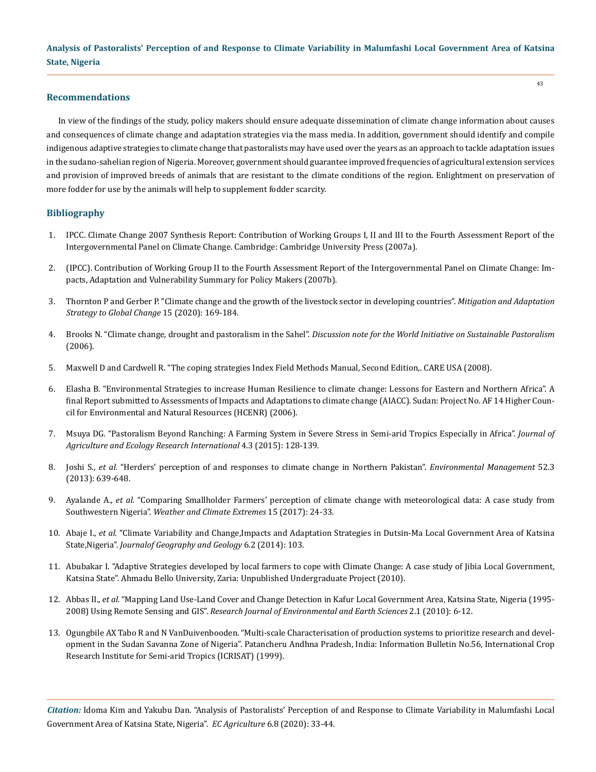### **Recommendations**

In view of the findings of the study, policy makers should ensure adequate dissemination of climate change information about causes and consequences of climate change and adaptation strategies via the mass media. In addition, government should identify and compile indigenous adaptive strategies to climate change that pastoralists may have used over the years as an approach to tackle adaptation issues in the sudano-sahelian region of Nigeria. Moreover, government should guarantee improved frequencies of agricultural extension services and provision of improved breeds of animals that are resistant to the climate conditions of the region. Enlightment on preservation of more fodder for use by the animals will help to supplement fodder scarcity.

### **Bibliography**

- 1. IPCC. Climate Change 2007 Synthesis Report: Contribution of Working Groups I, II and III to the Fourth Assessment Report of the Intergovernmental Panel on Climate Change. Cambridge: Cambridge University Press (2007a).
- 2. (IPCC). Contribution of Working Group II to the Fourth Assessment Report of the Intergovernmental Panel on Climate Change: Impacts, Adaptation and Vulnerability Summary for Policy Makers (2007b).
- 3. [Thornton P and Gerber P. "Climate change and the growth of the livestock sector in developing countries".](https://www.researchgate.net/publication/225584176_Climate_change_and_the_growth_of_the_livestock_sector_in_developing_countries) *Mitigation and Adaptation [Strategy to Global Change](https://www.researchgate.net/publication/225584176_Climate_change_and_the_growth_of_the_livestock_sector_in_developing_countries)* 15 (2020): 169-184.
- 4. Brooks N. "Climate change, drought and pastoralism in the Sahel". *[Discussion note for the World Initiative on Sustainable Pastoralism](https://www.semanticscholar.org/paper/Climate-change-%2C-drought-and-pastoralism-in-the-Brooks/ac47f51b645abc34b5e8fba9e431f94848b0831e)* [\(2006\).](https://www.semanticscholar.org/paper/Climate-change-%2C-drought-and-pastoralism-in-the-Brooks/ac47f51b645abc34b5e8fba9e431f94848b0831e)
- 5. [Maxwell D and Cardwell R. "The coping strategies Index Field Methods Manual, Second Edition,. CARE USA \(2008\).](https://documents.wfp.org/stellent/groups/public/documents/manual_guide_proced/wfp211058.pdf)
- 6. [Elasha B. "Environmental Strategies to increase Human Resilience to climate change: Lessons for Eastern and Northern Africa". A](http://www.start.org/Projects/AIACC_Project/Final%20Reports/Final%20Reports/FinalRept_AIACC_AF14.pdf) [final Report submitted to Assessments of Impacts and Adaptations to climate change \(AIACC\). Sudan: Project No. AF 14 Higher Coun](http://www.start.org/Projects/AIACC_Project/Final%20Reports/Final%20Reports/FinalRept_AIACC_AF14.pdf)[cil for Environmental and Natural Resources \(HCENR\) \(2006\).](http://www.start.org/Projects/AIACC_Project/Final%20Reports/Final%20Reports/FinalRept_AIACC_AF14.pdf)
- 7. [Msuya DG. "Pastoralism Beyond Ranching: A Farming System in Severe Stress in Semi-arid Tropics Especially in Africa".](https://www.researchgate.net/publication/281730458_Pastoralism_Beyond_Ranching_A_Farming_System_in_Severe_Stress_in_Semi-arid_Tropics_Especially_in_Africa) *Journal of [Agriculture and Ecology Research International](https://www.researchgate.net/publication/281730458_Pastoralism_Beyond_Ranching_A_Farming_System_in_Severe_Stress_in_Semi-arid_Tropics_Especially_in_Africa)* 4.3 (2015): 128-139.
- 8. Joshi S., *et al.* ["Herders' perception of and responses to climate change in Northern Pakistan".](https://pubmed.ncbi.nlm.nih.gov/23674240/) *Environmental Management* 52.3 [\(2013\): 639-648.](https://pubmed.ncbi.nlm.nih.gov/23674240/)
- 9. Ayalande A., *et al.* ["Comparing Smallholder Farmers' perception of climate change with meteorological data: A case study from](https://www.sciencedirect.com/science/article/pii/S2212094716300755) Southwestern Nigeria". *[Weather and Climate Extremes](https://www.sciencedirect.com/science/article/pii/S2212094716300755)* 15 (2017): 24-33.
- 10. Abaje I., *et al.* ["Climate Variability and Change,Impacts and Adaptation Strategies in Dutsin-Ma Local Government Area of Katsina](https://www.researchgate.net/publication/262269274_Climate_Variability_and_Change_Impacts_and_Adaptation_Strategies_in_Dutsin-Ma_Local_Government_Area_of_Katsina_State_Nigeria) State,Nigeria". *[Journalof Geography and Geology](https://www.researchgate.net/publication/262269274_Climate_Variability_and_Change_Impacts_and_Adaptation_Strategies_in_Dutsin-Ma_Local_Government_Area_of_Katsina_State_Nigeria)* 6.2 (2014): 103.
- 11. Abubakar I. "Adaptive Strategies developed by local farmers to cope with Climate Change: A case study of Jibia Local Government, Katsina State". Ahmadu Bello University, Zaria: Unpublished Undergraduate Project (2010).
- 12. Abbas II., *et al.* ["Mapping Land Use-Land Cover and Change Detection in Kafur Local Government Area, Katsina State, Nigeria \(1995-](https://www.researchgate.net/publication/43655890_Mapping_Land_Use-land_Cover_and_Change_Detection_in_Kafur_Local_Government_Katsina_Nigeria_1995-2008_Using_Remote_Sensing_and_Gis) 2008) Using Remote Sensing and GIS". *[Research Journal of Environmental and Earth Sciences](https://www.researchgate.net/publication/43655890_Mapping_Land_Use-land_Cover_and_Change_Detection_in_Kafur_Local_Government_Katsina_Nigeria_1995-2008_Using_Remote_Sensing_and_Gis)* 2.1 (2010): 6-12.
- 13. Ogungbile AX Tabo R and N VanDuivenbooden. "Multi-scale Characterisation of production systems to prioritize research and development in the Sudan Savanna Zone of Nigeria". Patancheru Andhna Pradesh, India: Information Bulletin No.56, International Crop Research Institute for Semi-arid Tropics (ICRISAT) (1999).

*Citation:* Idoma Kim and Yakubu Dan. "Analysis of Pastoralists' Perception of and Response to Climate Variability in Malumfashi Local Government Area of Katsina State, Nigeria". *EC Agriculture* 6.8 (2020): 33-44.

43